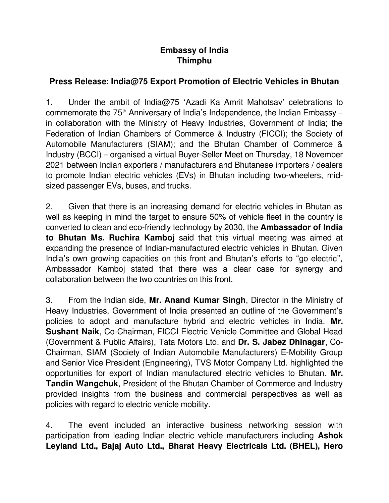## **Embassy of India Thimphu**

## **Press Release: India@75 Export Promotion of Electric Vehicles in Bhutan**

1. Under the ambit of India@75 'Azadi Ka Amrit Mahotsav' celebrations to commemorate the 75<sup>th</sup> Anniversary of India's Independence, the Indian Embassy – in collaboration with the Ministry of Heavy Industries, Government of India; the Federation of Indian Chambers of Commerce & Industry (FICCI); the Society of Automobile Manufacturers (SIAM); and the Bhutan Chamber of Commerce & Industry (BCCI) – organised a virtual Buyer-Seller Meet on Thursday, 18 November 2021 between Indian exporters / manufacturers and Bhutanese importers / dealers to promote Indian electric vehicles (EVs) in Bhutan including two-wheelers, midsized passenger EVs, buses, and trucks.

2. Given that there is an increasing demand for electric vehicles in Bhutan as well as keeping in mind the target to ensure 50% of vehicle fleet in the country is converted to clean and eco-friendly technology by 2030, the **Ambassador of India to Bhutan Ms. Ruchira Kamboj** said that this virtual meeting was aimed at expanding the presence of Indian-manufactured electric vehicles in Bhutan. Given India's own growing capacities on this front and Bhutan's efforts to "go electric", Ambassador Kamboj stated that there was a clear case for synergy and collaboration between the two countries on this front.

3. From the Indian side, **Mr. Anand Kumar Singh**, Director in the Ministry of Heavy Industries, Government of India presented an outline of the Government's policies to adopt and manufacture hybrid and electric vehicles in India. **Mr. Sushant Naik**, Co-Chairman, FICCI Electric Vehicle Committee and Global Head (Government & Public Affairs), Tata Motors Ltd. and **Dr. S. Jabez Dhinagar**, Co-Chairman, SIAM (Society of Indian Automobile Manufacturers) E-Mobility Group and Senior Vice President (Engineering), TVS Motor Company Ltd. highlighted the opportunities for export of Indian manufactured electric vehicles to Bhutan. **Mr. Tandin Wangchuk**, President of the Bhutan Chamber of Commerce and Industry provided insights from the business and commercial perspectives as well as policies with regard to electric vehicle mobility.

4. The event included an interactive business networking session with participation from leading Indian electric vehicle manufacturers including **Ashok Leyland Ltd., Bajaj Auto Ltd., Bharat Heavy Electricals Ltd. (BHEL), Hero**